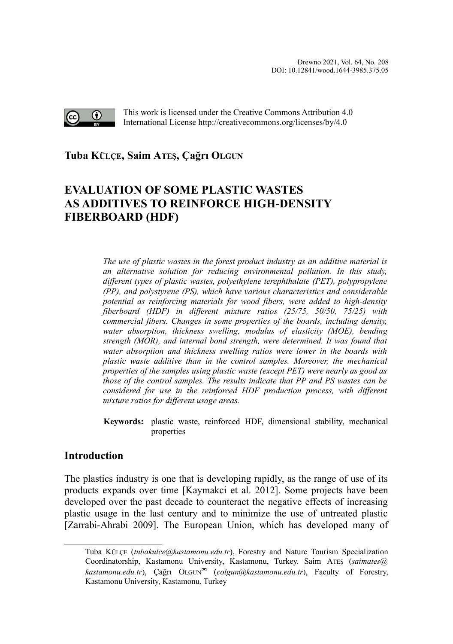

This work is licensed under the Creative Commons Attribution 4.0 International License http://creativecommons.org/licenses/by/4.0

# **Tuba KÜLÇE, Saim ATEŞ, Çağrı OLGU[N](#page-0-0)**

# **EVALUATION OF SOME PLASTIC WASTES AS ADDITIVES TO REINFORCE HIGH-DENSITY FIBERBOARD (HDF)**

*The use of plastic wastes in the forest product industry as an additive material is an alternative solution for reducing environmental pollution. In this study, different types of plastic wastes, polyethylene terephthalate (PET), polypropylene (PP), and polystyrene (PS), which have various characteristics and considerable potential as reinforcing materials for wood fibers, were added to high-density fiberboard (HDF) in different mixture ratios (25/75, 50/50, 75/25) with commercial fibers. Changes in some properties of the boards, including density, water absorption, thickness swelling, modulus of elasticity (MOE), bending strength (MOR), and internal bond strength, were determined. It was found that water absorption and thickness swelling ratios were lower in the boards with plastic waste additive than in the control samples. Moreover, the mechanical properties of the samples using plastic waste (except PET) were nearly as good as those of the control samples. The results indicate that PP and PS wastes can be considered for use in the reinforced HDF production process, with different mixture ratios for different usage areas.*

**Keywords:** plastic waste, reinforced HDF, dimensional stability, mechanical properties

## **Introduction**

The plastics industry is one that is developing rapidly, as the range of use of its products expands over time [Kaymakci et al. 2012]. Some projects have been developed over the past decade to counteract the negative effects of increasing plastic usage in the last century and to minimize the use of untreated plastic [Zarrabi-Ahrabi 2009]. The European Union, which has developed many of

<span id="page-0-0"></span>Tuba KÜLÇE (*tubakulce@kastamonu.edu.tr*), Forestry and Nature Tourism Specialization Coordinatorship, Kastamonu University, Kastamonu, Turkey. Saim ATEŞ (*saimates@ kastamonu.edu.tr*), Cağrı OLGUN<sup>∞</sup> (*colgun@kastamonu.edu.tr*), Faculty of Forestry, Kastamonu University, Kastamonu, Turkey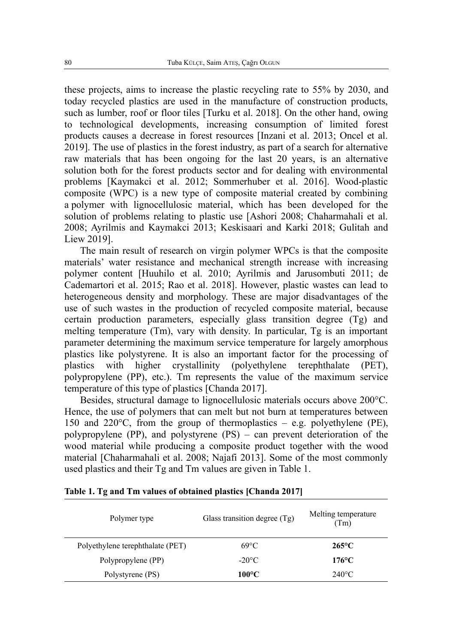these projects, aims to increase the plastic recycling rate to 55% by 2030, and today recycled plastics are used in the manufacture of construction products, such as lumber, roof or floor tiles [Turku et al. 2018]. On the other hand, owing to technological developments, increasing consumption of limited forest products causes a decrease in forest resources [Inzani et al. 2013; Oncel et al. 2019]. The use of plastics in the forest industry, as part of a search for alternative raw materials that has been ongoing for the last 20 years, is an alternative solution both for the forest products sector and for dealing with environmental problems [Kaymakci et al. 2012; Sommerhuber et al. 2016]. Wood-plastic composite (WPC) is a new type of composite material created by combining a polymer with lignocellulosic material, which has been developed for the solution of problems relating to plastic use [Ashori 2008; Chaharmahali et al. 2008; Ayrilmis and Kaymakci 2013; Keskisaari and Karki 2018; Gulitah and Liew 2019].

The main result of research on virgin polymer WPCs is that the composite materials' water resistance and mechanical strength increase with increasing polymer content [Huuhilo et al. 2010; Ayrilmis and Jarusombuti 2011; de Cademartori et al. 2015; Rao et al. 2018]. However, plastic wastes can lead to heterogeneous density and morphology. These are major disadvantages of the use of such wastes in the production of recycled composite material, because certain production parameters, especially glass transition degree (Tg) and melting temperature (Tm), vary with density. In particular, Tg is an important parameter determining the maximum service temperature for largely amorphous plastics like polystyrene. It is also an important factor for the processing of plastics with higher crystallinity (polyethylene terephthalate (PET), polypropylene (PP), etc.). Tm represents the value of the maximum service temperature of this type of plastics [Chanda 2017].

Besides, structural damage to lignocellulosic materials occurs above 200°C. Hence, the use of polymers that can melt but not burn at temperatures between 150 and 220°C, from the group of thermoplastics – e.g. polyethylene (PE), polypropylene (PP), and polystyrene (PS) – can prevent deterioration of the wood material while producing a composite product together with the wood material [Chaharmahali et al. 2008; Najafi 2013]. Some of the most commonly used plastics and their Tg and Tm values are given in Table 1.

| Polymer type                     | Glass transition degree (Tg) | Melting temperature<br>(Tm) |
|----------------------------------|------------------------------|-----------------------------|
| Polyethylene terephthalate (PET) | $69^{\circ}$ C               | $265^{\circ}$ C             |
| Polypropylene (PP)               | $-20^{\circ}$ C              | $176^{\circ}$ C             |
| Polystyrene (PS)                 | $100^{\circ}$ C              | $240^{\circ}$ C             |

| Table 1. Tg and Tm values of obtained plastics [Chanda 2017] |
|--------------------------------------------------------------|
|--------------------------------------------------------------|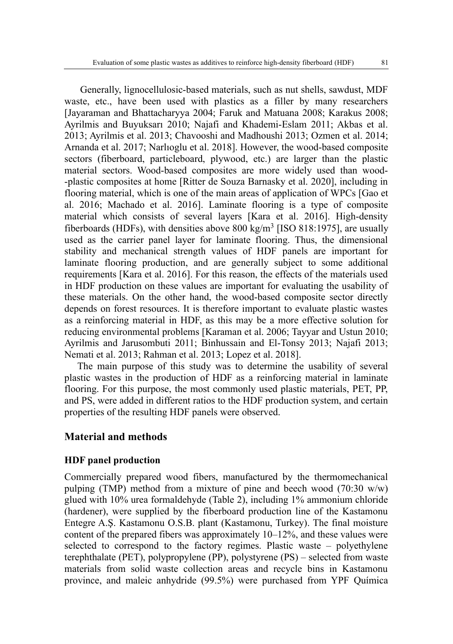Generally, lignocellulosic-based materials, such as nut shells, sawdust, MDF waste, etc., have been used with plastics as a filler by many researchers [Jayaraman and Bhattacharyya 2004; Faruk and Matuana 2008; Karakus 2008; Ayrilmis and Buyuksarı 2010; Najafi and Khademi-Eslam 2011; Akbas et al. 2013; Ayrilmis et al. 2013; Chavooshi and Madhoushi 2013; Ozmen et al. 2014; Arnanda et al. 2017; Narlıoglu et al. 2018]. However, the wood-based composite sectors (fiberboard, particleboard, plywood, etc.) are larger than the plastic material sectors. Wood-based composites are more widely used than wood- -plastic composites at home [Ritter de Souza Barnasky et al. 2020], including in flooring material, which is one of the main areas of application of WPCs [Gao et al. 2016; Machado et al. 2016]. Laminate flooring is a type of composite material which consists of several layers [Kara et al. 2016]. High-density fiberboards (HDFs), with densities above  $800 \text{ kg/m}^3$  [ISO  $818:1975$ ], are usually used as the carrier panel layer for laminate flooring. Thus, the dimensional stability and mechanical strength values of HDF panels are important for laminate flooring production, and are generally subject to some additional requirements [Kara et al. 2016]. For this reason, the effects of the materials used in HDF production on these values are important for evaluating the usability of these materials. On the other hand, the wood-based composite sector directly depends on forest resources. It is therefore important to evaluate plastic wastes as a reinforcing material in HDF, as this may be a more effective solution for reducing environmental problems [Karaman et al. 2006; Tayyar and Ustun 2010; Ayrilmis and Jarusombuti 2011; Binhussain and El-Tonsy 2013; Najafi 2013; Nemati et al. 2013; Rahman et al. 2013; Lopez et al. 2018].

The main purpose of this study was to determine the usability of several plastic wastes in the production of HDF as a reinforcing material in laminate flooring. For this purpose, the most commonly used plastic materials, PET, PP, and PS, were added in different ratios to the HDF production system, and certain properties of the resulting HDF panels were observed.

#### **Material and methods**

#### **HDF panel production**

Commercially prepared wood fibers, manufactured by the thermomechanical pulping (TMP) method from a mixture of pine and beech wood (70:30 w/w) glued with 10% urea formaldehyde (Table 2), including 1% ammonium chloride (hardener), were supplied by the fiberboard production line of the Kastamonu Entegre A.Ş. Kastamonu O.S.B. plant (Kastamonu, Turkey). The final moisture content of the prepared fibers was approximately 10–12%, and these values were selected to correspond to the factory regimes. Plastic waste – polyethylene terephthalate (PET), polypropylene (PP), polystyrene (PS) – selected from waste materials from solid waste collection areas and recycle bins in Kastamonu province, and maleic anhydride (99.5%) were purchased from YPF Química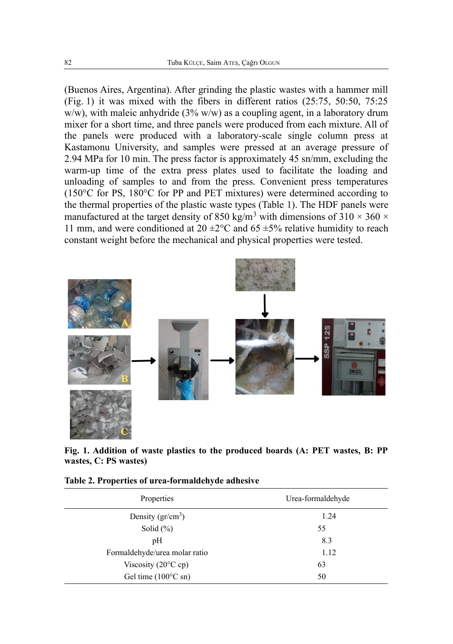(Buenos Aires, Argentina). After grinding the plastic wastes with a hammer mill (Fig. 1) it was mixed with the fibers in different ratios (25:75, 50:50, 75:25 w/w), with maleic anhydride  $(3\%$  w/w) as a coupling agent, in a laboratory drum mixer for a short time, and three panels were produced from each mixture. All of the panels were produced with a laboratory-scale single column press at Kastamonu University, and samples were pressed at an average pressure of 2.94 MPa for 10 min. The press factor is approximately 45 sn/mm, excluding the warm-up time of the extra press plates used to facilitate the loading and unloading of samples to and from the press. Convenient press temperatures (150°C for PS, 180°C for PP and PET mixtures) were determined according to the thermal properties of the plastic waste types (Table 1). The HDF panels were manufactured at the target density of 850 kg/m<sup>3</sup> with dimensions of 310  $\times$  360  $\times$ 11 mm, and were conditioned at  $20 \pm 2^{\circ}$ C and  $65 \pm 5\%$  relative humidity to reach constant weight before the mechanical and physical properties were tested.



**Fig. 1. Addition of waste plastics to the produced boards (A: PET wastes, B: PP wastes, C: PS wastes)**

| Properties                    | Urea-formaldehyde |
|-------------------------------|-------------------|
| Density $(gr/cm^3)$           | 1.24              |
| Solid $(\% )$                 | 55                |
| pH                            | 8.3               |
| Formaldehyde/urea molar ratio | 1.12              |
| Viscosity (20 $\degree$ C cp) | 63                |
| Gel time $(100^{\circ}$ C sn) | 50                |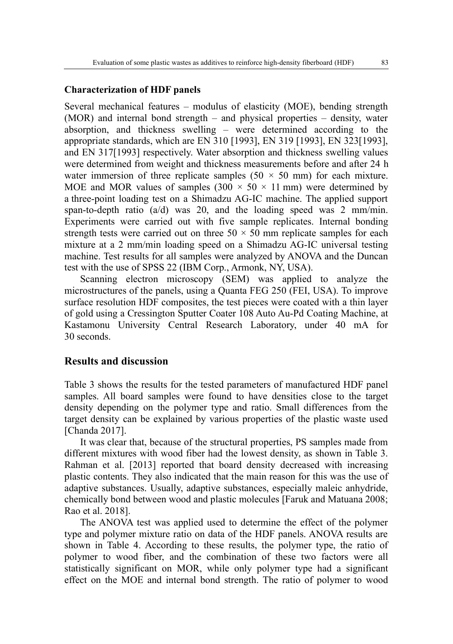## **Characterization of HDF panels**

Several mechanical features – modulus of elasticity (MOE), bending strength (MOR) and internal bond strength – and physical properties – density, water absorption, and thickness swelling – were determined according to the appropriate standards, which are EN 310 [1993], EN 319 [1993], EN 323[1993], and EN 317[1993] respectively. Water absorption and thickness swelling values were determined from weight and thickness measurements before and after 24 h water immersion of three replicate samples  $(50 \times 50 \text{ mm})$  for each mixture. MOE and MOR values of samples  $(300 \times 50 \times 11 \text{ mm})$  were determined by a three-point loading test on a Shimadzu AG-IC machine. The applied support span-to-depth ratio (a/d) was 20, and the loading speed was 2 mm/min. Experiments were carried out with five sample replicates. Internal bonding strength tests were carried out on three  $50 \times 50$  mm replicate samples for each mixture at a 2 mm/min loading speed on a Shimadzu AG-IC universal testing machine. Test results for all samples were analyzed by ANOVA and the Duncan test with the use of SPSS 22 (IBM Corp., Armonk, NY, USA).

Scanning electron microscopy (SEM) was applied to analyze the microstructures of the panels, using a Quanta FEG 250 (FEI, USA). To improve surface resolution HDF composites, the test pieces were coated with a thin layer of gold using a Cressington Sputter Coater 108 Auto Au-Pd Coating Machine, at Kastamonu University Central Research Laboratory, under 40 mA for 30 seconds.

#### **Results and discussion**

Table 3 shows the results for the tested parameters of manufactured HDF panel samples. All board samples were found to have densities close to the target density depending on the polymer type and ratio. Small differences from the target density can be explained by various properties of the plastic waste used [Chanda 2017].

It was clear that, because of the structural properties, PS samples made from different mixtures with wood fiber had the lowest density, as shown in Table 3. Rahman et al. [2013] reported that board density decreased with increasing plastic contents. They also indicated that the main reason for this was the use of adaptive substances. Usually, adaptive substances, especially maleic anhydride, chemically bond between wood and plastic molecules [Faruk and Matuana 2008; Rao et al. 2018].

The ANOVA test was applied used to determine the effect of the polymer type and polymer mixture ratio on data of the HDF panels. ANOVA results are shown in Table 4. According to these results, the polymer type, the ratio of polymer to wood fiber, and the combination of these two factors were all statistically significant on MOR, while only polymer type had a significant effect on the MOE and internal bond strength. The ratio of polymer to wood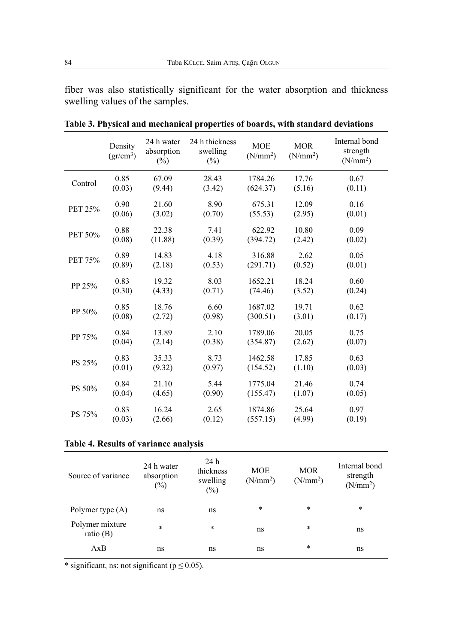fiber was also statistically significant for the water absorption and thickness swelling values of the samples.

|         | Density<br>$(gr/cm^3)$ | 24 h water<br>absorption<br>$(\%)$ | 24 h thickness<br>swelling<br>$(\%)$ | <b>MOE</b><br>(N/mm <sup>2</sup> ) | <b>MOR</b><br>(N/mm <sup>2</sup> ) | Internal bond<br>strength<br>(N/mm <sup>2</sup> ) |
|---------|------------------------|------------------------------------|--------------------------------------|------------------------------------|------------------------------------|---------------------------------------------------|
| Control | 0.85                   | 67.09                              | 28.43                                | 1784.26                            | 17.76                              | 0.67                                              |
|         | (0.03)                 | (9.44)                             | (3.42)                               | (624.37)                           | (5.16)                             | (0.11)                                            |
| PET 25% | 0.90                   | 21.60                              | 8.90                                 | 675.31                             | 12.09                              | 0.16                                              |
|         | (0.06)                 | (3.02)                             | (0.70)                               | (55.53)                            | (2.95)                             | (0.01)                                            |
| PET 50% | 0.88                   | 22.38                              | 7.41                                 | 622.92                             | 10.80                              | 0.09                                              |
|         | (0.08)                 | (11.88)                            | (0.39)                               | (394.72)                           | (2.42)                             | (0.02)                                            |
| PET 75% | 0.89                   | 14.83                              | 4.18                                 | 316.88                             | 2.62                               | 0.05                                              |
|         | (0.89)                 | (2.18)                             | (0.53)                               | (291.71)                           | (0.52)                             | (0.01)                                            |
| PP 25%  | 0.83                   | 19.32                              | 8.03                                 | 1652.21                            | 18.24                              | 0.60                                              |
|         | (0.30)                 | (4.33)                             | (0.71)                               | (74.46)                            | (3.52)                             | (0.24)                                            |
| PP 50%  | 0.85                   | 18.76                              | 6.60                                 | 1687.02                            | 19.71                              | 0.62                                              |
|         | (0.08)                 | (2.72)                             | (0.98)                               | (300.51)                           | (3.01)                             | (0.17)                                            |
| PP 75%  | 0.84                   | 13.89                              | 2.10                                 | 1789.06                            | 20.05                              | 0.75                                              |
|         | (0.04)                 | (2.14)                             | (0.38)                               | (354.87)                           | (2.62)                             | (0.07)                                            |
| PS 25%  | 0.83                   | 35.33                              | 8.73                                 | 1462.58                            | 17.85                              | 0.63                                              |
|         | (0.01)                 | (9.32)                             | (0.97)                               | (154.52)                           | (1.10)                             | (0.03)                                            |
| PS 50%  | 0.84                   | 21.10                              | 5.44                                 | 1775.04                            | 21.46                              | 0.74                                              |
|         | (0.04)                 | (4.65)                             | (0.90)                               | (155.47)                           | (1.07)                             | (0.05)                                            |
| PS 75%  | 0.83                   | 16.24                              | 2.65                                 | 1874.86                            | 25.64                              | 0.97                                              |
|         | (0.03)                 | (2.66)                             | (0.12)                               | (557.15)                           | (4.99)                             | (0.19)                                            |

**Table 3. Physical and mechanical properties of boards, with standard deviations**

## **Table 4. Results of variance analysis**

| Source of variance             | 24 h water<br>absorption<br>(%) | 24h<br>thickness<br>swelling<br>$\binom{0}{0}$ | <b>MOE</b><br>(N/mm <sup>2</sup> ) | <b>MOR</b><br>(N/mm <sup>2</sup> ) | Internal bond<br>strength<br>(N/mm <sup>2</sup> ) |
|--------------------------------|---------------------------------|------------------------------------------------|------------------------------------|------------------------------------|---------------------------------------------------|
| Polymer type (A)               | ns                              | ns                                             | $\ast$                             | $\ast$                             | $\ast$                                            |
| Polymer mixture<br>ratio $(B)$ | $\ast$                          | $\ast$                                         | ns                                 | $\ast$                             | ns                                                |
| AxB                            | ns                              | ns                                             | ns                                 | $\ast$                             | ns                                                |

\* significant, ns: not significant ( $p \le 0.05$ ).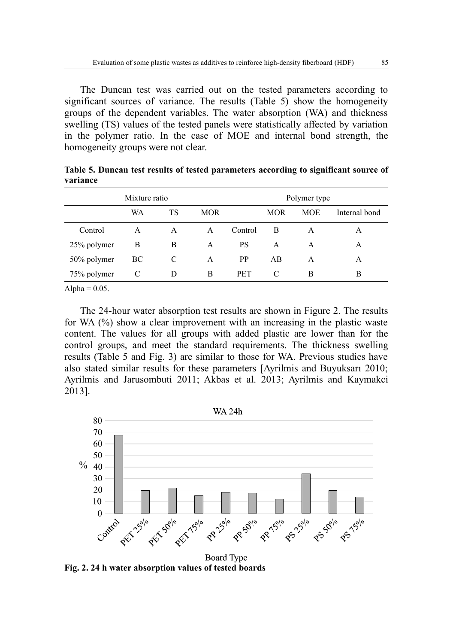The Duncan test was carried out on the tested parameters according to significant sources of variance. The results (Table 5) show the homogeneity groups of the dependent variables. The water absorption (WA) and thickness swelling (TS) values of the tested panels were statistically affected by variation in the polymer ratio. In the case of MOE and internal bond strength, the homogeneity groups were not clear.

| Mixture ratio |    |    |            |            |            | Polymer type |               |
|---------------|----|----|------------|------------|------------|--------------|---------------|
|               | WA | TS | <b>MOR</b> |            | <b>MOR</b> | <b>MOE</b>   | Internal bond |
| Control       | A  | A  | A          | Control    | B          | A            | А             |
| 25% polymer   | В  | B  | A          | PS         | A          | A            | А             |
| 50% polymer   | ВC | C  | A          | <b>PP</b>  | AB         | A            | А             |
| 75% polymer   | C  | D  | B          | <b>PET</b> | C          | B            | B             |

**Table 5. Duncan test results of tested parameters according to significant source of variance**

Alpha =  $0.05$ .

The 24-hour water absorption test results are shown in Figure 2. The results for WA (%) show a clear improvement with an increasing in the plastic waste content. The values for all groups with added plastic are lower than for the control groups, and meet the standard requirements. The thickness swelling results (Table 5 and Fig. 3) are similar to those for WA. Previous studies have also stated similar results for these parameters [Ayrilmis and Buyuksarı 2010; Ayrilmis and Jarusombuti 2011; Akbas et al. 2013; Ayrilmis and Kaymakci 2013].



**Fig. 2. 24 h water absorption values of tested boards**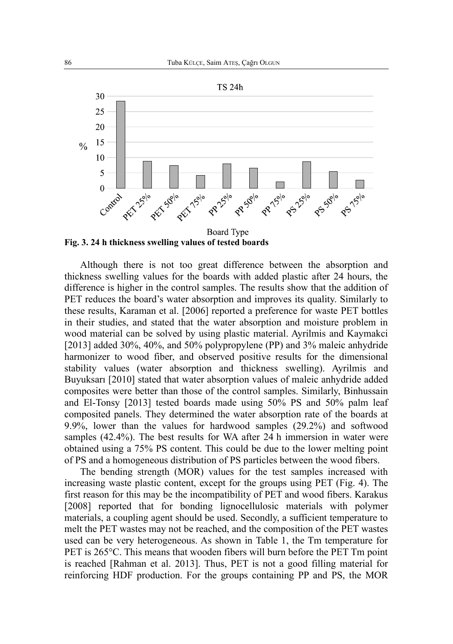

**Fig. 3. 24 h thickness swelling values of tested boards**

Although there is not too great difference between the absorption and thickness swelling values for the boards with added plastic after 24 hours, the difference is higher in the control samples. The results show that the addition of PET reduces the board's water absorption and improves its quality. Similarly to these results, Karaman et al. [2006] reported a preference for waste PET bottles in their studies, and stated that the water absorption and moisture problem in wood material can be solved by using plastic material. Ayrilmis and Kaymakci [2013] added 30%, 40%, and 50% polypropylene (PP) and 3% maleic anhydride harmonizer to wood fiber, and observed positive results for the dimensional stability values (water absorption and thickness swelling). Ayrilmis and Buyuksarı [2010] stated that water absorption values of maleic anhydride added composites were better than those of the control samples. Similarly, Binhussain and El-Tonsy [2013] tested boards made using 50% PS and 50% palm leaf composited panels. They determined the water absorption rate of the boards at 9.9%, lower than the values for hardwood samples (29.2%) and softwood samples (42.4%). The best results for WA after 24 h immersion in water were obtained using a 75% PS content. This could be due to the lower melting point of PS and a homogeneous distribution of PS particles between the wood fibers.

The bending strength (MOR) values for the test samples increased with increasing waste plastic content, except for the groups using PET (Fig. 4). The first reason for this may be the incompatibility of PET and wood fibers. Karakus [2008] reported that for bonding lignocellulosic materials with polymer materials, a coupling agent should be used. Secondly, a sufficient temperature to melt the PET wastes may not be reached, and the composition of the PET wastes used can be very heterogeneous. As shown in Table 1, the Tm temperature for PET is 265 °C. This means that wooden fibers will burn before the PET Tm point is reached [Rahman et al. 2013]. Thus, PET is not a good filling material for reinforcing HDF production. For the groups containing PP and PS, the MOR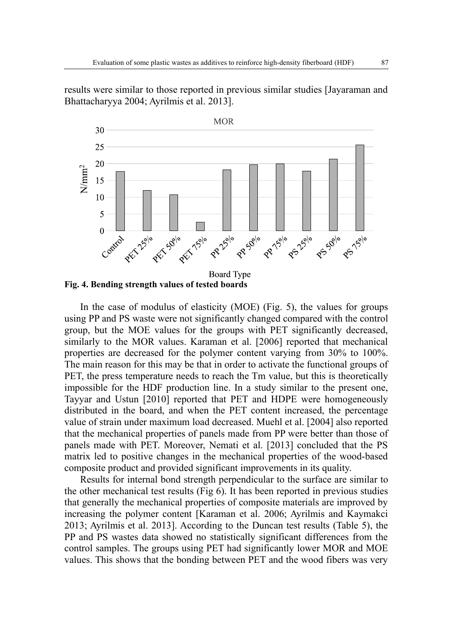results were similar to those reported in previous similar studies [Jayaraman and Bhattacharyya 2004; Ayrilmis et al. 2013].



In the case of modulus of elasticity (MOE) (Fig. 5), the values for groups using PP and PS waste were not significantly changed compared with the control group, but the MOE values for the groups with PET significantly decreased, similarly to the MOR values. Karaman et al. [2006] reported that mechanical properties are decreased for the polymer content varying from 30% to 100%. The main reason for this may be that in order to activate the functional groups of PET, the press temperature needs to reach the Tm value, but this is theoretically impossible for the HDF production line. In a study similar to the present one, Tayyar and Ustun [2010] reported that PET and HDPE were homogeneously distributed in the board, and when the PET content increased, the percentage value of strain under maximum load decreased. Muehl et al. [2004] also reported that the mechanical properties of panels made from PP were better than those of panels made with PET. Moreover, Nemati et al. [2013] concluded that the PS matrix led to positive changes in the mechanical properties of the wood-based composite product and provided significant improvements in its quality.

Results for internal bond strength perpendicular to the surface are similar to the other mechanical test results (Fig 6). It has been reported in previous studies that generally the mechanical properties of composite materials are improved by increasing the polymer content [Karaman et al. 2006; Ayrilmis and Kaymakci 2013; Ayrilmis et al. 2013]. According to the Duncan test results (Table 5), the PP and PS wastes data showed no statistically significant differences from the control samples. The groups using PET had significantly lower MOR and MOE values. This shows that the bonding between PET and the wood fibers was very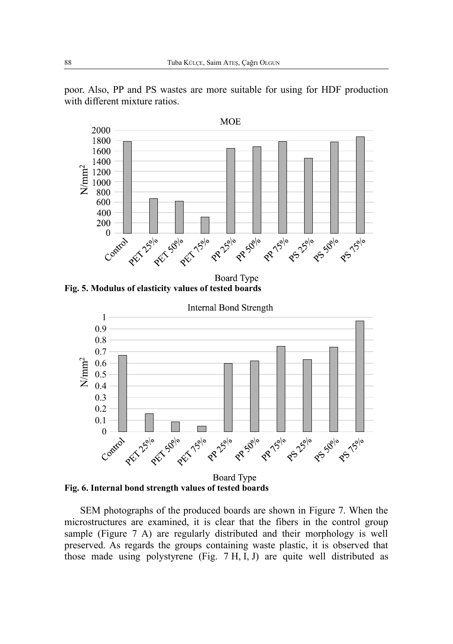

poor. Also, PP and PS wastes are more suitable for using for HDF production with different mixture ratios.

**Fig. 5. Modulus of elasticity values of tested boards**



**Board Type Fig. 6. Internal bond strength values of tested boards**

SEM photographs of the produced boards are shown in Figure 7. When the microstructures are examined, it is clear that the fibers in the control group sample (Figure 7 A) are regularly distributed and their morphology is well preserved. As regards the groups containing waste plastic, it is observed that those made using polystyrene (Fig. 7 H, I, J) are quite well distributed as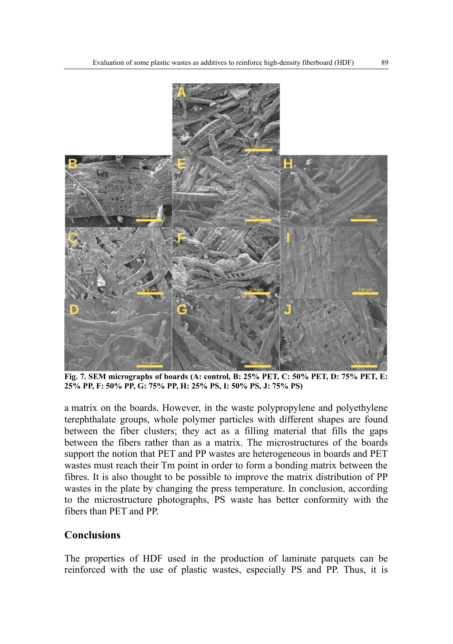

**Fig. 7. SEM micrographs of boards (A: control, B: 25% PET, C: 50% PET, D: 75% PET, E: 25% PP, F: 50% PP, G: 75% PP, H: 25% PS, I: 50% PS, J: 75% PS)**

a matrix on the boards. However, in the waste polypropylene and polyethylene terephthalate groups, whole polymer particles with different shapes are found between the fiber clusters; they act as a filling material that fills the gaps between the fibers rather than as a matrix. The microstructures of the boards support the notion that PET and PP wastes are heterogeneous in boards and PET wastes must reach their Tm point in order to form a bonding matrix between the fibres. It is also thought to be possible to improve the matrix distribution of PP wastes in the plate by changing the press temperature. In conclusion, according to the microstructure photographs, PS waste has better conformity with the fibers than PET and PP.

## **Conclusions**

The properties of HDF used in the production of laminate parquets can be reinforced with the use of plastic wastes, especially PS and PP. Thus, it is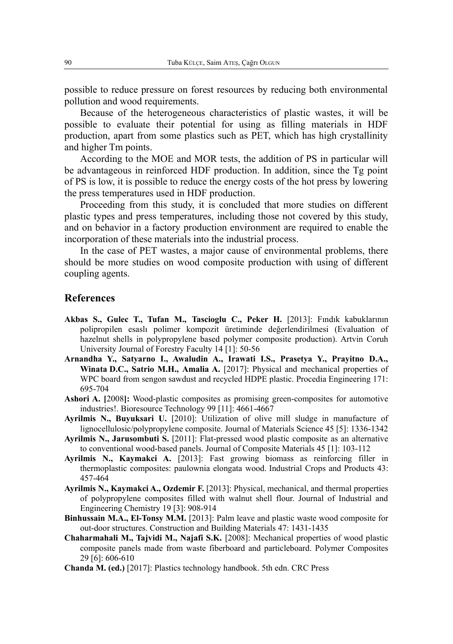possible to reduce pressure on forest resources by reducing both environmental pollution and wood requirements.

Because of the heterogeneous characteristics of plastic wastes, it will be possible to evaluate their potential for using as filling materials in HDF production, apart from some plastics such as PET, which has high crystallinity and higher Tm points.

According to the MOE and MOR tests, the addition of PS in particular will be advantageous in reinforced HDF production. In addition, since the Tg point of PS is low, it is possible to reduce the energy costs of the hot press by lowering the press temperatures used in HDF production.

Proceeding from this study, it is concluded that more studies on different plastic types and press temperatures, including those not covered by this study, and on behavior in a factory production environment are required to enable the incorporation of these materials into the industrial process.

In the case of PET wastes, a major cause of environmental problems, there should be more studies on wood composite production with using of different coupling agents.

#### **References**

- **Akbas S., Gulec T., Tufan M., Tascioglu C., Peker H.** [2013]: Fındık kabuklarının polipropilen esaslı polimer kompozit üretiminde değerlendirilmesi (Evaluation of hazelnut shells in polypropylene based polymer composite production). Artvin Coruh University Journal of Forestry Faculty 14 [1]: 50-56
- **Arnandha Y., Satyarno I., Awaludin A., Irawati I.S., Prasetya Y., Prayitno D.A., Winata D.C., Satrio M.H., Amalia A.** [2017]: Physical and mechanical properties of WPC board from sengon sawdust and recycled HDPE plastic. Procedia Engineering 171: 695-704
- **Ashori A. [**2008**]:** Wood-plastic composites as promising green-composites for automotive industries!. Bioresource Technology 99 [11]: 4661-4667
- **Ayrilmis N., Buyuksari U.** [2010]: Utilization of olive mill sludge in manufacture of lignocellulosic/polypropylene composite. Journal of Materials Science 45 [5]: 1336-1342
- **Ayrilmis N., Jarusombuti S.** [2011]: Flat-pressed wood plastic composite as an alternative to conventional wood-based panels. Journal of Composite Materials 45 [1]: 103-112
- **Ayrilmis N., Kaymakci A.** [2013]: Fast growing biomass as reinforcing filler in thermoplastic composites: paulownia elongata wood. Industrial Crops and Products 43: 457-464
- **Ayrilmis N., Kaymakci A., Ozdemir F.** [2013]: Physical, mechanical, and thermal properties of polypropylene composites filled with walnut shell flour. Journal of Industrial and Engineering Chemistry 19 [3]: 908-914
- **Binhussain M.A., El-Tonsy M.M.** [2013]: Palm leave and plastic waste wood composite for out-door structures. Construction and Building Materials 47: 1431-1435
- **Chaharmahali M., Tajvidi M., Najafi S.K.** [2008]: Mechanical properties of wood plastic composite panels made from waste fiberboard and particleboard. Polymer Composites 29 [6]: 606-610
- **Chanda M. (ed.)** [2017]: Plastics technology handbook. 5th edn. CRC Press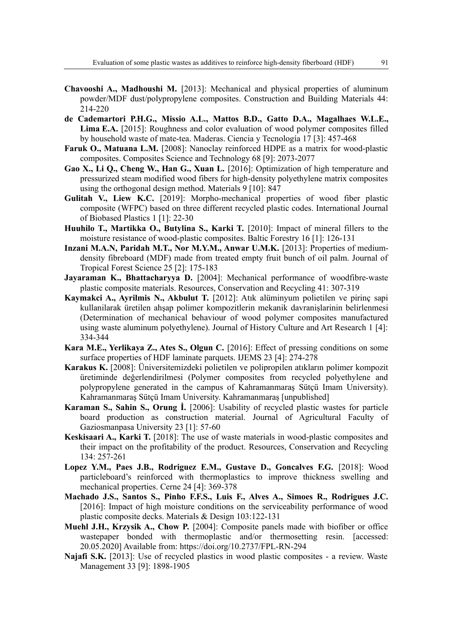- **Chavooshi A., Madhoushi M.** [2013]: Mechanical and physical properties of aluminum powder/MDF dust/polypropylene composites. Construction and Building Materials 44: 214-220
- **de Cademartori P.H.G., Missio A.L., Mattos B.D., Gatto D.A., Magalhaes W.L.E., Lima E.A.** [2015]: Roughness and color evaluation of wood polymer composites filled by household waste of mate-tea. Maderas. Ciencia y Tecnología 17 [3]: 457-468
- **Faruk O., Matuana L.M.** [2008]: Nanoclay reinforced HDPE as a matrix for wood-plastic composites. Composites Science and Technology 68 [9]: 2073-2077
- **Gao X., Li Q., Cheng W., Han G., Xuan L.** [2016]: Optimization of high temperature and pressurized steam modified wood fibers for high-density polyethylene matrix composites using the orthogonal design method. Materials 9 [10]: 847
- **Gulitah V., Liew K.C.** [2019]: Morpho-mechanical properties of wood fiber plastic composite (WFPC) based on three different recycled plastic codes. International Journal of Biobased Plastics 1 [1]: 22-30
- **Huuhilo T., Martikka O., Butylina S., Karki T.** [2010]: Impact of mineral fillers to the moisture resistance of wood-plastic composites. Baltic Forestry 16 [1]: 126-131
- **Inzani M.A.N, Paridah M.T., Nor M.Y.M., Anwar U.M.K.** [2013]: Properties of mediumdensity fibreboard (MDF) made from treated empty fruit bunch of oil palm. Journal of Tropical Forest Science 25 [2]: 175-183
- **Jayaraman K., Bhattacharyya D.** [2004]: Mechanical performance of woodfibre-waste plastic composite materials. Resources, Conservation and Recycling 41: 307-319
- **Kaymakci A., Ayrilmis N., Akbulut T.** [2012]: Atık alüminyum polietilen ve pirinç sapi kullanilarak üretilen ahşap polimer kompozitlerin mekanik davranişlarinin belirlenmesi (Determination of mechanical behaviour of wood polymer composites manufactured using waste aluminum polyethylene). Journal of History Culture and Art Research 1 [4]: 334-344
- **Kara M.E., Yerlikaya Z., Ates S., Olgun C.** [2016]: Effect of pressing conditions on some surface properties of HDF laminate parquets. IJEMS 23 [4]: 274-278
- **Karakus K.** [2008]: Üniversitemizdeki polietilen ve polipropilen atıkların polimer kompozit üretiminde değerlendirilmesi (Polymer composites from recycled polyethylene and polypropylene generated in the campus of Kahramanmaraş Sütçü Imam University). Kahramanmaraş Sütçü Imam University. Kahramanmaraş [unpublished]
- **Karaman S., Sahin S., Orung İ.** [2006]: Usability of recycled plastic wastes for particle board production as construction material. Journal of Agricultural Faculty of Gaziosmanpasa University 23 [1]: 57-60
- **Keskisaari A., Karki T.** [2018]: The use of waste materials in wood-plastic composites and their impact on the profitability of the product. Resources, Conservation and Recycling 134: 257-261
- **Lopez Y.M., Paes J.B., Rodriguez E.M., Gustave D., Goncalves F.G.** [2018]: Wood particleboard's reinforced with thermoplastics to improve thickness swelling and mechanical properties. Cerne 24 [4]: 369-378
- **Machado J.S., Santos S., Pinho F.F.S., Luis F., Alves A., Simoes R., Rodrigues J.C.** [2016]: Impact of high moisture conditions on the serviceability performance of wood plastic composite decks. Materials & Design 103:122-131
- **Muehl J.H., Krzysik A., Chow P.** [2004]: Composite panels made with biofiber or office wastepaper bonded with thermoplastic and/or thermosetting resin. [accessed: 20.05.2020] Available from: https://doi.org/10.2737/FPL-RN-294
- **Najafi S.K.** [2013]: Use of recycled plastics in wood plastic composites a review. Waste Management 33 [9]: 1898-1905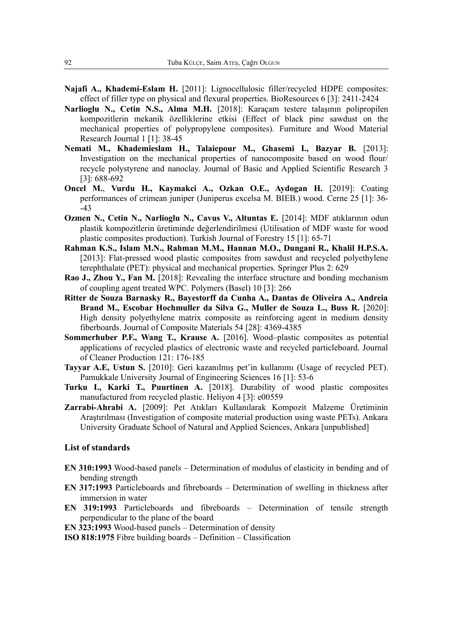- **Najafi A., Khademi-Eslam H.** [2011]: Lignocellulosic filler/recycled HDPE composites: effect of filler type on physical and flexural properties. BioResources 6 [3]: 2411-2424
- **Narlioglu N., Cetin N.S., Alma M.H.** [2018]: Karaçam testere talaşının polipropilen kompozitlerin mekanik özelliklerine etkisi (Effect of black pine sawdust on the mechanical properties of polypropylene composites). Furniture and Wood Material Research Journal 1 [1]: 38-45
- **Nemati M., Khademieslam H., Talaiepour M., Ghasemi I., Bazyar B.** [2013]: Investigation on the mechanical properties of nanocomposite based on wood flour/ recycle polystyrene and nanoclay. Journal of Basic and Applied Scientific Research 3 [3]: 688-692
- **Oncel M.**, **Vurdu H., Kaymakci A., Ozkan O.E., Aydogan H.** [2019]: Coating performances of crimean juniper (Juniperus excelsa M. BIEB.) wood. Cerne 25 [1]: 36- -43
- **Ozmen N., Cetin N., Narlioglu N., Cavus V., Altuntas E.** [2014]: MDF atıklarının odun plastik kompozitlerin üretiminde değerlendirilmesi (Utilisation of MDF waste for wood plastic composites production). Turkish Journal of Forestry 15 [1]: 65-71
- **Rahman K.S., Islam M.N., Rahman M.M., Hannan M.O., Dungani R., Khalil H.P.S.A.** [2013]: Flat-pressed wood plastic composites from sawdust and recycled polyethylene terephthalate (PET): physical and mechanical properties. Springer Plus 2: 629
- **Rao J., Zhou Y., Fan M.** [2018]: Revealing the interface structure and bonding mechanism of coupling agent treated WPC. Polymers (Basel) 10 [3]: 266
- **Ritter de Souza Barnasky R., Bayestorff da Cunha A., Dantas de Oliveira A., Andreia Brand M., Escobar Hochmuller da Silva G., Muller de Souza L., Buss R.** [2020]: High density polyethylene matrix composite as reinforcing agent in medium density fiberboards. Journal of Composite Materials 54 [28]: 4369-4385
- **Sommerhuber P.F., Wang T., Krause A.** [2016]. Wood–plastic composites as potential applications of recycled plastics of electronic waste and recycled particleboard. Journal of Cleaner Production 121: 176-185
- **Tayyar A.E, Ustun S.** [2010]: Geri kazanılmış pet'in kullanımı (Usage of recycled PET). Pamukkale University Journal of Engineering Sciences 16 [1]: 53-6
- **Turku I., Karki T., Puurtinen A.** [2018]. Durability of wood plastic composites manufactured from recycled plastic. Heliyon 4 [3]: e00559
- **Zarrabi-Ahrabi A.** [2009]: Pet Atıkları Kullanılarak Kompozit Malzeme Üretiminin Araştırılması (Investigation of composite material production using waste PETs). Ankara University Graduate School of Natural and Applied Sciences, Ankara [unpublished]

#### **List of standards**

- **EN 310:1993** Wood-based panels Determination of modulus of elasticity in bending and of bending strength
- **EN 317:1993** Particleboards and fibreboards Determination of swelling in thickness after immersion in water
- **EN 319:1993** Particleboards and fibreboards Determination of tensile strength perpendicular to the plane of the board
- **EN 323:1993** Wood-based panels Determination of density
- **ISO 818:1975** Fibre building boards Definition Classification